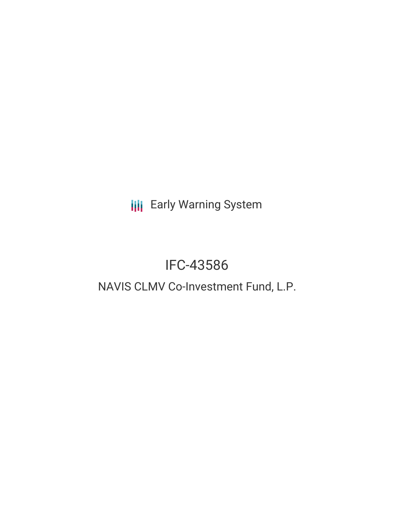**III** Early Warning System

# IFC-43586

## NAVIS CLMV Co-Investment Fund, L.P.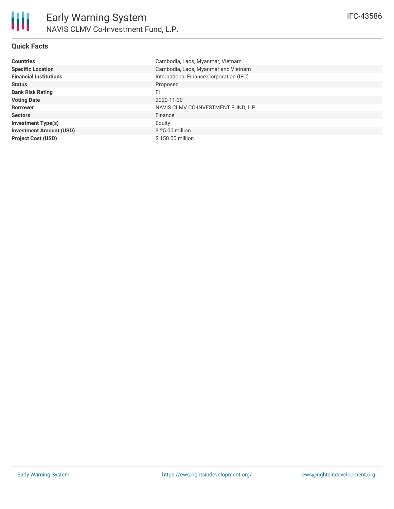| <b>Countries</b>               | Cambodia, Laos, Myanmar, Vietnam        |
|--------------------------------|-----------------------------------------|
| <b>Specific Location</b>       | Cambodia, Laos, Myanmar and Vietnam     |
| <b>Financial Institutions</b>  | International Finance Corporation (IFC) |
| <b>Status</b>                  | Proposed                                |
| <b>Bank Risk Rating</b>        | FI                                      |
| <b>Voting Date</b>             | 2020-11-30                              |
| <b>Borrower</b>                | NAVIS CLMV CO-INVESTMENT FUND, L.P      |
| <b>Sectors</b>                 | Finance                                 |
| <b>Investment Type(s)</b>      | Equity                                  |
| <b>Investment Amount (USD)</b> | $$25.00$ million                        |
| <b>Project Cost (USD)</b>      | \$150.00 million                        |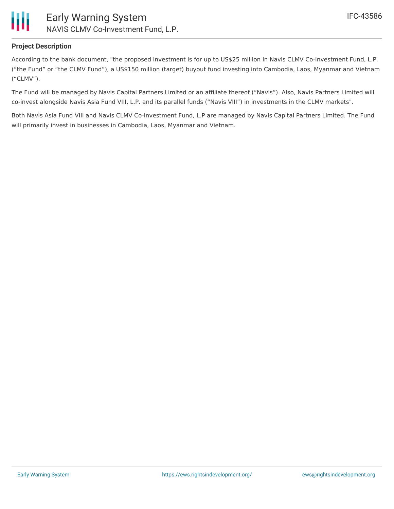

### **Project Description**

According to the bank document, "the proposed investment is for up to US\$25 million in Navis CLMV Co-Investment Fund, L.P. ("the Fund" or "the CLMV Fund"), a US\$150 million (target) buyout fund investing into Cambodia, Laos, Myanmar and Vietnam ("CLMV").

The Fund will be managed by Navis Capital Partners Limited or an affiliate thereof ("Navis"). Also, Navis Partners Limited will co-invest alongside Navis Asia Fund VIII, L.P. and its parallel funds ("Navis VIII") in investments in the CLMV markets".

Both Navis Asia Fund VIII and Navis CLMV Co-Investment Fund, L.P are managed by Navis Capital Partners Limited. The Fund will primarily invest in businesses in Cambodia, Laos, Myanmar and Vietnam.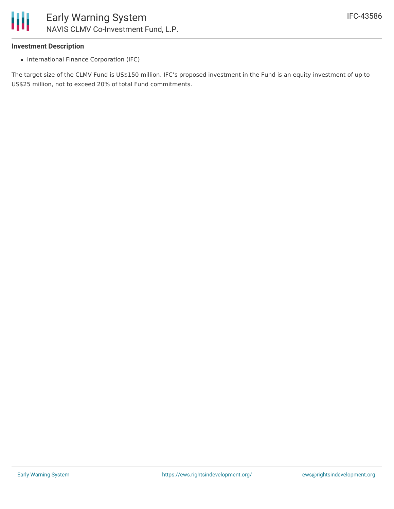

### **Investment Description**

• International Finance Corporation (IFC)

The target size of the CLMV Fund is US\$150 million. IFC's proposed investment in the Fund is an equity investment of up to US\$25 million, not to exceed 20% of total Fund commitments.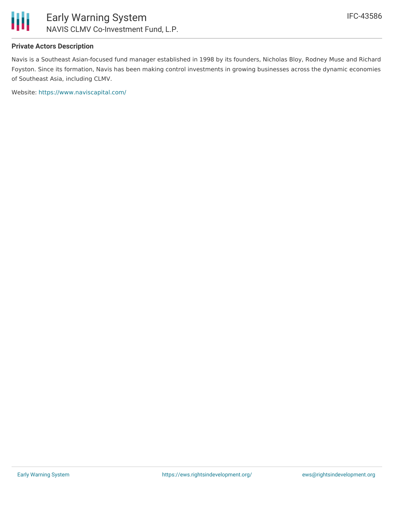

### **Private Actors Description**

Navis is a Southeast Asian-focused fund manager established in 1998 by its founders, Nicholas Bloy, Rodney Muse and Richard Foyston. Since its formation, Navis has been making control investments in growing businesses across the dynamic economies of Southeast Asia, including CLMV.

Website: <https://www.naviscapital.com/>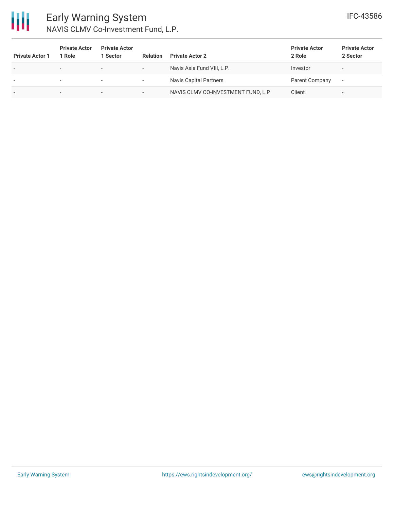

### Early Warning System NAVIS CLMV Co-Investment Fund, L.P.

| <b>Private Actor 1</b>   | <b>Private Actor</b><br>1 Role | <b>Private Actor</b><br>1 Sector | <b>Relation</b>          | <b>Private Actor 2</b>             | <b>Private Actor</b><br>2 Role | <b>Private Actor</b><br>2 Sector |
|--------------------------|--------------------------------|----------------------------------|--------------------------|------------------------------------|--------------------------------|----------------------------------|
| $\overline{\phantom{a}}$ |                                | $\overline{\phantom{0}}$         | $\overline{\phantom{a}}$ | Navis Asia Fund VIII, L.P.         | Investor                       | $\overline{\phantom{a}}$         |
|                          |                                | $\overline{\phantom{0}}$         | $\overline{\phantom{a}}$ | Navis Capital Partners             | Parent Company                 | $\overline{\phantom{a}}$         |
| $\overline{\phantom{a}}$ | -                              | $\overline{\phantom{0}}$         | $\overline{\phantom{a}}$ | NAVIS CLMV CO-INVESTMENT FUND, L.P | Client                         | $\overline{\phantom{a}}$         |